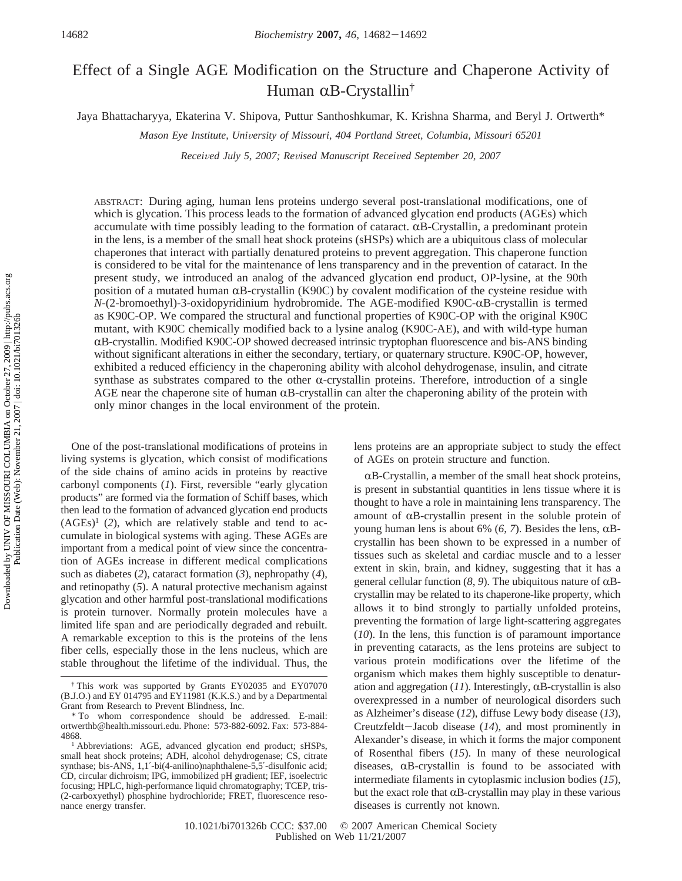# Effect of a Single AGE Modification on the Structure and Chaperone Activity of Human  $\alpha$ B-Crystallin<sup>†</sup>

Jaya Bhattacharyya, Ekaterina V. Shipova, Puttur Santhoshkumar, K. Krishna Sharma, and Beryl J. Ortwerth\*

*Mason Eye Institute, Uni*V*ersity of Missouri, 404 Portland Street, Columbia, Missouri 65201*

*Recei*V*ed July 5, 2007; Re*V*ised Manuscript Recei*V*ed September 20, 2007*

ABSTRACT: During aging, human lens proteins undergo several post-translational modifications, one of which is glycation. This process leads to the formation of advanced glycation end products (AGEs) which accumulate with time possibly leading to the formation of cataract.  $\alpha$ B-Crystallin, a predominant protein in the lens, is a member of the small heat shock proteins (sHSPs) which are a ubiquitous class of molecular chaperones that interact with partially denatured proteins to prevent aggregation. This chaperone function is considered to be vital for the maintenance of lens transparency and in the prevention of cataract. In the present study, we introduced an analog of the advanced glycation end product, OP-lysine, at the 90th position of a mutated human  $\alpha$ B-crystallin (K90C) by covalent modification of the cysteine residue with *N*-(2-bromoethyl)-3-oxidopyridinium hydrobromide. The AGE-modified K90C-αB-crystallin is termed as K90C-OP. We compared the structural and functional properties of K90C-OP with the original K90C mutant, with K90C chemically modified back to a lysine analog (K90C-AE), and with wild-type human RB-crystallin. Modified K90C-OP showed decreased intrinsic tryptophan fluorescence and bis-ANS binding without significant alterations in either the secondary, tertiary, or quaternary structure. K90C-OP, however, exhibited a reduced efficiency in the chaperoning ability with alcohol dehydrogenase, insulin, and citrate synthase as substrates compared to the other  $\alpha$ -crystallin proteins. Therefore, introduction of a single AGE near the chaperone site of human  $\alpha$ B-crystallin can alter the chaperoning ability of the protein with only minor changes in the local environment of the protein.

One of the post-translational modifications of proteins in living systems is glycation, which consist of modifications of the side chains of amino acids in proteins by reactive carbonyl components (*1*). First, reversible "early glycation products" are formed via the formation of Schiff bases, which then lead to the formation of advanced glycation end products  $(AGEs)^1$  (2), which are relatively stable and tend to accumulate in biological systems with aging. These AGEs are important from a medical point of view since the concentration of AGEs increase in different medical complications such as diabetes (*2*), cataract formation (*3*), nephropathy (*4*), and retinopathy (*5*). A natural protective mechanism against glycation and other harmful post-translational modifications is protein turnover. Normally protein molecules have a limited life span and are periodically degraded and rebuilt. A remarkable exception to this is the proteins of the lens fiber cells, especially those in the lens nucleus, which are stable throughout the lifetime of the individual. Thus, the lens proteins are an appropriate subject to study the effect of AGEs on protein structure and function.

 $\alpha$ B-Crystallin, a member of the small heat shock proteins, is present in substantial quantities in lens tissue where it is thought to have a role in maintaining lens transparency. The amount of  $\alpha$ B-crystallin present in the soluble protein of young human lens is about 6%  $(6, 7)$ . Besides the lens,  $\alpha$ Bcrystallin has been shown to be expressed in a number of tissues such as skeletal and cardiac muscle and to a lesser extent in skin, brain, and kidney, suggesting that it has a general cellular function  $(8, 9)$ . The ubiquitous nature of  $\alpha$ Bcrystallin may be related to its chaperone-like property, which allows it to bind strongly to partially unfolded proteins, preventing the formation of large light-scattering aggregates (*10*). In the lens, this function is of paramount importance in preventing cataracts, as the lens proteins are subject to various protein modifications over the lifetime of the organism which makes them highly susceptible to denaturation and aggregation  $(11)$ . Interestingly,  $\alpha$ B-crystallin is also overexpressed in a number of neurological disorders such as Alzheimer's disease (*12*), diffuse Lewy body disease (*13*), Creutzfeldt-Jacob disease (*14*), and most prominently in Alexander's disease, in which it forms the major component of Rosenthal fibers (*15*). In many of these neurological diseases,  $\alpha$ B-crystallin is found to be associated with intermediate filaments in cytoplasmic inclusion bodies (*15*), but the exact role that  $\alpha$ B-crystallin may play in these various diseases is currently not known.

<sup>†</sup> This work was supported by Grants EY02035 and EY07070 (B.J.O.) and EY 014795 and EY11981 (K.K.S.) and by a Departmental Grant from Research to Prevent Blindness, Inc.

<sup>\*</sup> To whom correspondence should be addressed. E-mail: ortwerthb@health.missouri.edu. Phone: 573-882-6092. Fax: 573-884- 4868.

<sup>&</sup>lt;sup>1</sup> Abbreviations: AGE, advanced glycation end product; sHSPs, small heat shock proteins; ADH, alcohol dehydrogenase; CS, citrate synthase; bis-ANS, 1,1'-bi(4-anilino)naphthalene-5,5'-disulfonic acid; CD, circular dichroism; IPG, immobilized pH gradient; IEF, isoelectric focusing; HPLC, high-performance liquid chromatography; TCEP, tris- (2-carboxyethyl) phosphine hydrochloride; FRET, fluorescence resonance energy transfer.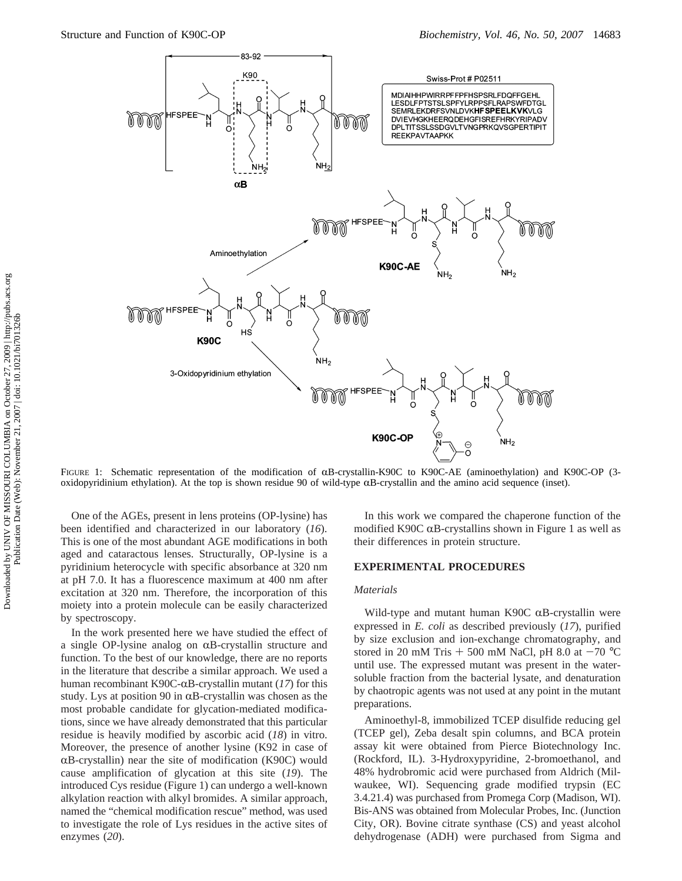

FIGURE 1: Schematic representation of the modification of  $\alpha$ B-crystallin-K90C to K90C-AE (aminoethylation) and K90C-OP (3oxidopyridinium ethylation). At the top is shown residue 90 of wild-type  $\alpha$ B-crystallin and the amino acid sequence (inset).

One of the AGEs, present in lens proteins (OP-lysine) has been identified and characterized in our laboratory (*16*). This is one of the most abundant AGE modifications in both aged and cataractous lenses. Structurally, OP-lysine is a pyridinium heterocycle with specific absorbance at 320 nm at pH 7.0. It has a fluorescence maximum at 400 nm after excitation at 320 nm. Therefore, the incorporation of this moiety into a protein molecule can be easily characterized by spectroscopy.

In the work presented here we have studied the effect of a single OP-lysine analog on  $\alpha$ B-crystallin structure and function. To the best of our knowledge, there are no reports in the literature that describe a similar approach. We used a human recombinant K90C- $\alpha$ B-crystallin mutant (17) for this study. Lys at position 90 in  $\alpha$ B-crystallin was chosen as the most probable candidate for glycation-mediated modifications, since we have already demonstrated that this particular residue is heavily modified by ascorbic acid (*18*) in vitro. Moreover, the presence of another lysine (K92 in case of  $\alpha$ B-crystallin) near the site of modification (K90C) would cause amplification of glycation at this site (*19*). The introduced Cys residue (Figure 1) can undergo a well-known alkylation reaction with alkyl bromides. A similar approach, named the "chemical modification rescue" method, was used to investigate the role of Lys residues in the active sites of enzymes (*20*).

In this work we compared the chaperone function of the modified K90C  $\alpha$ B-crystallins shown in Figure 1 as well as their differences in protein structure.

## **EXPERIMENTAL PROCEDURES**

#### *Materials*

Wild-type and mutant human K90C  $\alpha$ B-crystallin were expressed in *E. coli* as described previously (*17*), purified by size exclusion and ion-exchange chromatography, and stored in 20 mM Tris  $+$  500 mM NaCl, pH 8.0 at  $-70$  °C until use. The expressed mutant was present in the watersoluble fraction from the bacterial lysate, and denaturation by chaotropic agents was not used at any point in the mutant preparations.

Aminoethyl-8, immobilized TCEP disulfide reducing gel (TCEP gel), Zeba desalt spin columns, and BCA protein assay kit were obtained from Pierce Biotechnology Inc. (Rockford, IL). 3-Hydroxypyridine, 2-bromoethanol, and 48% hydrobromic acid were purchased from Aldrich (Milwaukee, WI). Sequencing grade modified trypsin (EC 3.4.21.4) was purchased from Promega Corp (Madison, WI). Bis-ANS was obtained from Molecular Probes, Inc. (Junction City, OR). Bovine citrate synthase (CS) and yeast alcohol dehydrogenase (ADH) were purchased from Sigma and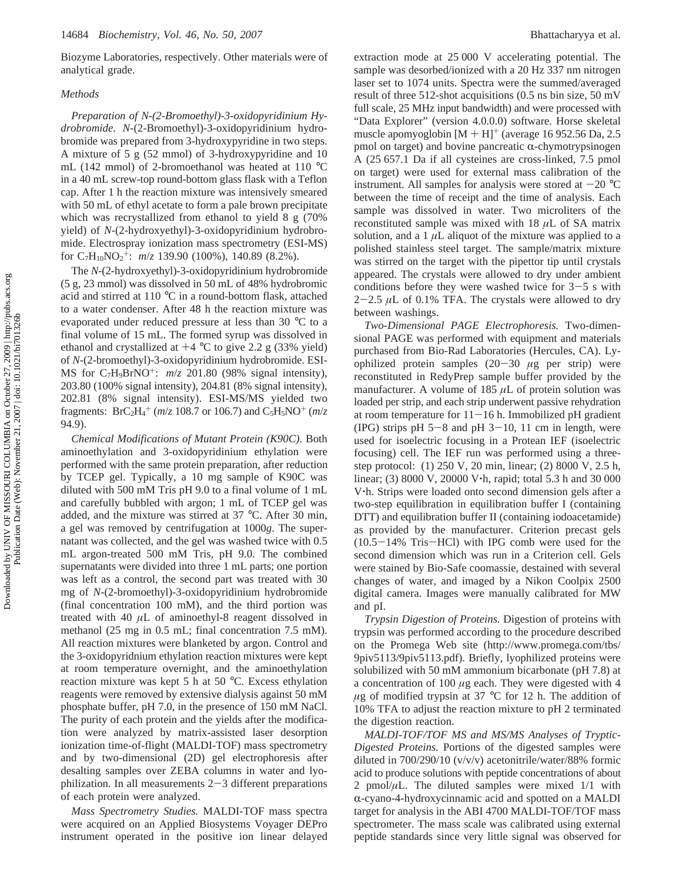Biozyme Laboratories, respectively. Other materials were of analytical grade.

#### *Methods*

*Preparation of N-(2-Bromoethyl)-3-oxidopyridinium Hydrobromide. N*-(2-Bromoethyl)-3-oxidopyridinium hydrobromide was prepared from 3-hydroxypyridine in two steps. A mixture of 5 g (52 mmol) of 3-hydroxypyridine and 10 mL (142 mmol) of 2-bromoethanol was heated at 110 °C in a 40 mL screw-top round-bottom glass flask with a Teflon cap. After 1 h the reaction mixture was intensively smeared with 50 mL of ethyl acetate to form a pale brown precipitate which was recrystallized from ethanol to yield 8 g (70% yield) of *N*-(2-hydroxyethyl)-3-oxidopyridinium hydrobromide. Electrospray ionization mass spectrometry (ESI-MS) for C7H10NO2 <sup>+</sup>: *m*/*z* 139.90 (100%), 140.89 (8.2%).

The *N*-(2-hydroxyethyl)-3-oxidopyridinium hydrobromide (5 g, 23 mmol) was dissolved in 50 mL of 48% hydrobromic acid and stirred at 110 °C in a round-bottom flask, attached to a water condenser. After 48 h the reaction mixture was evaporated under reduced pressure at less than 30 °C to a final volume of 15 mL. The formed syrup was dissolved in ethanol and crystallized at  $+4$  °C to give 2.2 g (33% yield) of *N*-(2-bromoethyl)-3-oxidopyridinium hydrobromide. ESI-MS for C7H9BrNO+: *m*/*z* 201.80 (98% signal intensity), 203.80 (100% signal intensity), 204.81 (8% signal intensity), 202.81 (8% signal intensity). ESI-MS/MS yielded two fragments:  $BrC_2H_4^+$  ( $m/z$  108.7 or 106.7) and  $C_5H_5NO^+$  ( $m/z$ 94.9).

*Chemical Modifications of Mutant Protein (K90C).* Both aminoethylation and 3-oxidopyridinium ethylation were performed with the same protein preparation, after reduction by TCEP gel. Typically, a 10 mg sample of K90C was diluted with 500 mM Tris pH 9.0 to a final volume of 1 mL and carefully bubbled with argon; 1 mL of TCEP gel was added, and the mixture was stirred at 37 °C. After 30 min, a gel was removed by centrifugation at 1000*g*. The supernatant was collected, and the gel was washed twice with 0.5 mL argon-treated 500 mM Tris, pH 9.0. The combined supernatants were divided into three 1 mL parts; one portion was left as a control, the second part was treated with 30 mg of *N*-(2-bromoethyl)-3-oxidopyridinium hydrobromide (final concentration 100 mM), and the third portion was treated with 40 *µ*L of aminoethyl-8 reagent dissolved in methanol (25 mg in 0.5 mL; final concentration 7.5 mM). All reaction mixtures were blanketed by argon. Control and the 3-oxidopyridnium ethylation reaction mixtures were kept at room temperature overnight, and the aminoethylation reaction mixture was kept 5 h at 50 °C. Excess ethylation reagents were removed by extensive dialysis against 50 mM phosphate buffer, pH 7.0, in the presence of 150 mM NaCl. The purity of each protein and the yields after the modification were analyzed by matrix-assisted laser desorption ionization time-of-flight (MALDI-TOF) mass spectrometry and by two-dimensional (2D) gel electrophoresis after desalting samples over ZEBA columns in water and lyophilization. In all measurements  $2-3$  different preparations of each protein were analyzed.

*Mass Spectrometry Studies.* MALDI-TOF mass spectra were acquired on an Applied Biosystems Voyager DEPro instrument operated in the positive ion linear delayed extraction mode at 25 000 V accelerating potential. The sample was desorbed/ionized with a 20 Hz 337 nm nitrogen laser set to 1074 units. Spectra were the summed/averaged result of three 512-shot acquisitions (0.5 ns bin size, 50 mV full scale, 25 MHz input bandwidth) and were processed with "Data Explorer" (version 4.0.0.0) software. Horse skeletal muscle apomyoglobin  $[M + H]$ <sup>+</sup> (average 16 952.56 Da, 2.5 pmol on target) and bovine pancreatic  $\alpha$ -chymotrypsinogen A (25 657.1 Da if all cysteines are cross-linked, 7.5 pmol on target) were used for external mass calibration of the instrument. All samples for analysis were stored at  $-20$  °C between the time of receipt and the time of analysis. Each sample was dissolved in water. Two microliters of the reconstituted sample was mixed with 18 *µ*L of SA matrix solution, and a  $1 \mu$ L aliquot of the mixture was applied to a polished stainless steel target. The sample/matrix mixture was stirred on the target with the pipettor tip until crystals appeared. The crystals were allowed to dry under ambient conditions before they were washed twice for  $3-5$  s with  $2-2.5$   $\mu$ L of 0.1% TFA. The crystals were allowed to dry between washings.

*Two-Dimensional PAGE Electrophoresis.* Two-dimensional PAGE was performed with equipment and materials purchased from Bio-Rad Laboratories (Hercules, CA). Lyophilized protein samples (20-<sup>30</sup> *<sup>µ</sup>*g per strip) were reconstituted in RedyPrep sample buffer provided by the manufacturer. A volume of  $185 \mu L$  of protein solution was loaded per strip, and each strip underwent passive rehydration at room temperature for  $11-16$  h. Immobilized pH gradient (IPG) strips pH  $5-8$  and pH  $3-10$ , 11 cm in length, were used for isoelectric focusing in a Protean IEF (isoelectric focusing) cell. The IEF run was performed using a threestep protocol: (1) 250 V, 20 min, linear; (2) 8000 V, 2.5 h, linear; (3) 8000 V, 20000 V'h, rapid; total 5.3 h and 30 000 <sup>V</sup>'h. Strips were loaded onto second dimension gels after a two-step equilibration in equilibration buffer I (containing DTT) and equilibration buffer II (containing iodoacetamide) as provided by the manufacturer. Criterion precast gels (10.5-14% Tris-HCl) with IPG comb were used for the second dimension which was run in a Criterion cell. Gels were stained by Bio-Safe coomassie, destained with several changes of water, and imaged by a Nikon Coolpix 2500 digital camera. Images were manually calibrated for MW and pI.

*Trypsin Digestion of Proteins.* Digestion of proteins with trypsin was performed according to the procedure described on the Promega Web site (http://www.promega.com/tbs/ 9piv5113/9piv5113.pdf). Briefly, lyophilized proteins were solubilized with 50 mM ammonium bicarbonate (pH 7.8) at a concentration of 100 *µ*g each. They were digested with 4  $\mu$ g of modified trypsin at 37 °C for 12 h. The addition of 10% TFA to adjust the reaction mixture to pH 2 terminated the digestion reaction.

*MALDI-TOF/TOF MS and MS/MS Analyses of Tryptic-Digested Proteins.* Portions of the digested samples were diluted in 700/290/10 (v/v/v) acetonitrile/water/88% formic acid to produce solutions with peptide concentrations of about 2 pmol/ $\mu$ L. The diluted samples were mixed 1/1 with  $\alpha$ -cyano-4-hydroxycinnamic acid and spotted on a MALDI target for analysis in the ABI 4700 MALDI-TOF/TOF mass spectrometer. The mass scale was calibrated using external peptide standards since very little signal was observed for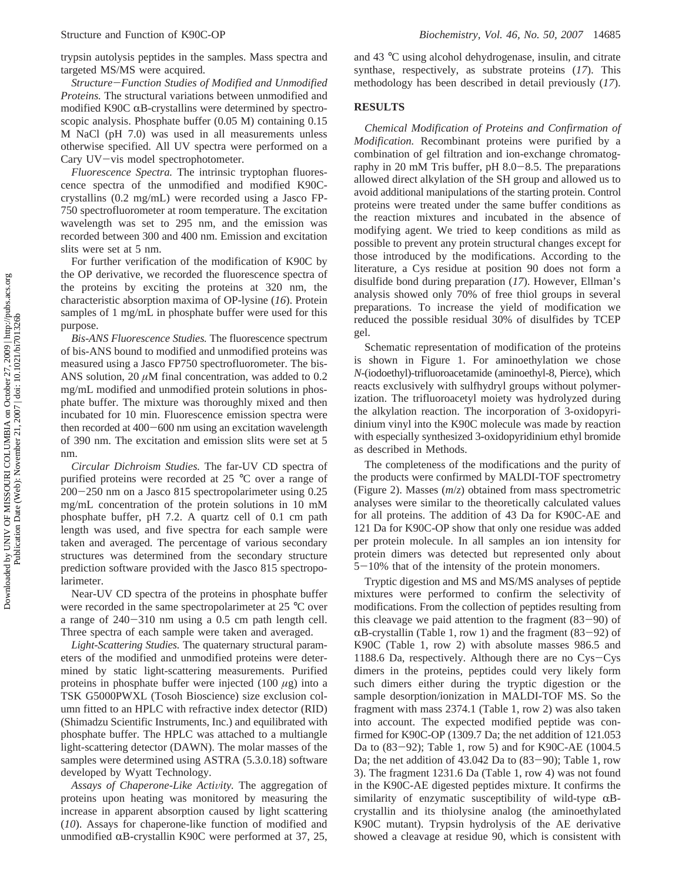trypsin autolysis peptides in the samples. Mass spectra and targeted MS/MS were acquired.

*Structure*-*Function Studies of Modified and Unmodified Proteins.* The structural variations between unmodified and modified K90C  $\alpha$ B-crystallins were determined by spectroscopic analysis. Phosphate buffer (0.05 M) containing 0.15 M NaCl (pH 7.0) was used in all measurements unless otherwise specified. All UV spectra were performed on a Cary UV-vis model spectrophotometer.

*Fluorescence Spectra.* The intrinsic tryptophan fluorescence spectra of the unmodified and modified K90Ccrystallins (0.2 mg/mL) were recorded using a Jasco FP-750 spectrofluorometer at room temperature. The excitation wavelength was set to 295 nm, and the emission was recorded between 300 and 400 nm. Emission and excitation slits were set at 5 nm.

For further verification of the modification of K90C by the OP derivative, we recorded the fluorescence spectra of the proteins by exciting the proteins at 320 nm, the characteristic absorption maxima of OP-lysine (*16*). Protein samples of 1 mg/mL in phosphate buffer were used for this purpose.

*Bis-ANS Fluorescence Studies.* The fluorescence spectrum of bis-ANS bound to modified and unmodified proteins was measured using a Jasco FP750 spectrofluorometer. The bis-ANS solution, 20  $\mu$ M final concentration, was added to 0.2 mg/mL modified and unmodified protein solutions in phosphate buffer. The mixture was thoroughly mixed and then incubated for 10 min. Fluorescence emission spectra were then recorded at 400-600 nm using an excitation wavelength of 390 nm. The excitation and emission slits were set at 5 nm.

*Circular Dichroism Studies.* The far-UV CD spectra of purified proteins were recorded at 25 °C over a range of <sup>200</sup>-250 nm on a Jasco 815 spectropolarimeter using 0.25 mg/mL concentration of the protein solutions in 10 mM phosphate buffer, pH 7.2. A quartz cell of 0.1 cm path length was used, and five spectra for each sample were taken and averaged. The percentage of various secondary structures was determined from the secondary structure prediction software provided with the Jasco 815 spectropolarimeter.

Near-UV CD spectra of the proteins in phosphate buffer were recorded in the same spectropolarimeter at 25 °C over a range of 240-310 nm using a 0.5 cm path length cell. Three spectra of each sample were taken and averaged.

*Light-Scattering Studies.* The quaternary structural parameters of the modified and unmodified proteins were determined by static light-scattering measurements. Purified proteins in phosphate buffer were injected (100 *µ*g) into a TSK G5000PWXL (Tosoh Bioscience) size exclusion column fitted to an HPLC with refractive index detector (RID) (Shimadzu Scientific Instruments, Inc.) and equilibrated with phosphate buffer. The HPLC was attached to a multiangle light-scattering detector (DAWN). The molar masses of the samples were determined using ASTRA (5.3.0.18) software developed by Wyatt Technology.

Assays of Chaperone-Like Activity. The aggregation of proteins upon heating was monitored by measuring the increase in apparent absorption caused by light scattering (*10*). Assays for chaperone-like function of modified and unmodified  $\alpha$ B-crystallin K90C were performed at 37, 25,

and 43 °C using alcohol dehydrogenase, insulin, and citrate synthase, respectively, as substrate proteins (*17*). This methodology has been described in detail previously (*17*).

### **RESULTS**

*Chemical Modification of Proteins and Confirmation of Modification.* Recombinant proteins were purified by a combination of gel filtration and ion-exchange chromatography in 20 mM Tris buffer, pH  $8.0-8.5$ . The preparations allowed direct alkylation of the SH group and allowed us to avoid additional manipulations of the starting protein. Control proteins were treated under the same buffer conditions as the reaction mixtures and incubated in the absence of modifying agent. We tried to keep conditions as mild as possible to prevent any protein structural changes except for those introduced by the modifications. According to the literature, a Cys residue at position 90 does not form a disulfide bond during preparation (*17*). However, Ellman's analysis showed only 70% of free thiol groups in several preparations. To increase the yield of modification we reduced the possible residual 30% of disulfides by TCEP gel.

Schematic representation of modification of the proteins is shown in Figure 1. For aminoethylation we chose *N*-(iodoethyl)-trifluoroacetamide (aminoethyl-8, Pierce), which reacts exclusively with sulfhydryl groups without polymerization. The trifluoroacetyl moiety was hydrolyzed during the alkylation reaction. The incorporation of 3-oxidopyridinium vinyl into the K90C molecule was made by reaction with especially synthesized 3-oxidopyridinium ethyl bromide as described in Methods.

The completeness of the modifications and the purity of the products were confirmed by MALDI-TOF spectrometry (Figure 2). Masses (*m*/*z*) obtained from mass spectrometric analyses were similar to the theoretically calculated values for all proteins. The addition of 43 Da for K90C-AE and 121 Da for K90C-OP show that only one residue was added per protein molecule. In all samples an ion intensity for protein dimers was detected but represented only about <sup>5</sup>-10% that of the intensity of the protein monomers.

Tryptic digestion and MS and MS/MS analyses of peptide mixtures were performed to confirm the selectivity of modifications. From the collection of peptides resulting from this cleavage we paid attention to the fragment  $(83-90)$  of  $\alpha$ B-crystallin (Table 1, row 1) and the fragment (83–92) of K90C (Table 1, row 2) with absolute masses 986.5 and 1188.6 Da, respectively. Although there are no Cys-Cys dimers in the proteins, peptides could very likely form such dimers either during the tryptic digestion or the sample desorption/ionization in MALDI-TOF MS. So the fragment with mass 2374.1 (Table 1, row 2) was also taken into account. The expected modified peptide was confirmed for K90C-OP (1309.7 Da; the net addition of 121.053 Da to (83-92); Table 1, row 5) and for K90C-AE (1004.5 Da; the net addition of  $43.042$  Da to  $(83-90)$ ; Table 1, row 3). The fragment 1231.6 Da (Table 1, row 4) was not found in the K90C-AE digested peptides mixture. It confirms the similarity of enzymatic susceptibility of wild-type  $\alpha$ Bcrystallin and its thiolysine analog (the aminoethylated K90C mutant). Trypsin hydrolysis of the AE derivative showed a cleavage at residue 90, which is consistent with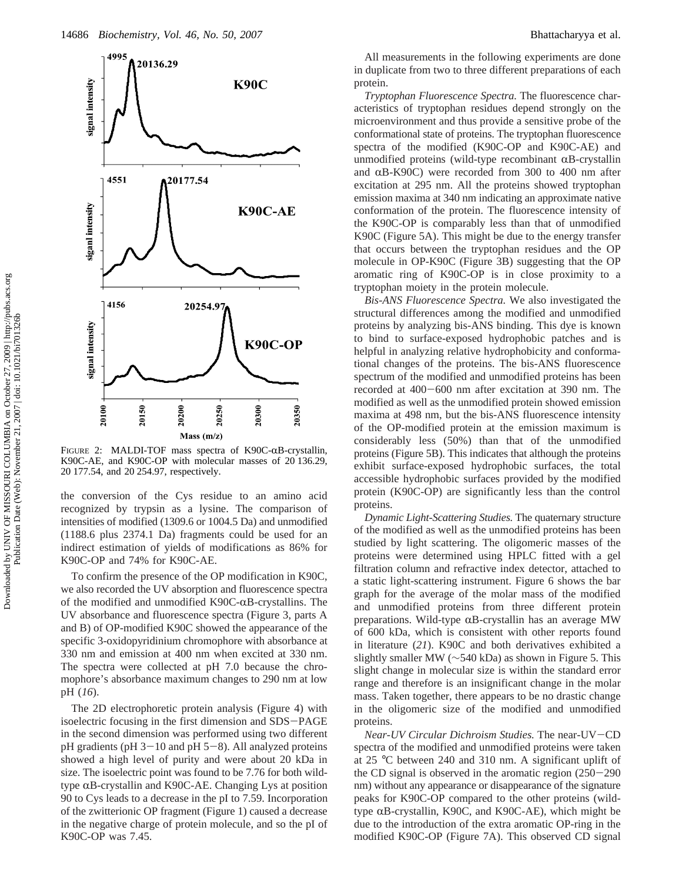

FIGURE 2: MALDI-TOF mass spectra of K90C- $\alpha$ B-crystallin, K90C-AE, and K90C-OP with molecular masses of 20 136.29, 20 177.54, and 20 254.97, respectively.

the conversion of the Cys residue to an amino acid recognized by trypsin as a lysine. The comparison of intensities of modified (1309.6 or 1004.5 Da) and unmodified (1188.6 plus 2374.1 Da) fragments could be used for an indirect estimation of yields of modifications as 86% for K90C-OP and 74% for K90C-AE.

To confirm the presence of the OP modification in K90C, we also recorded the UV absorption and fluorescence spectra of the modified and unmodified K90C- $\alpha$ B-crystallins. The UV absorbance and fluorescence spectra (Figure 3, parts A and B) of OP-modified K90C showed the appearance of the specific 3-oxidopyridinium chromophore with absorbance at 330 nm and emission at 400 nm when excited at 330 nm. The spectra were collected at pH 7.0 because the chromophore's absorbance maximum changes to 290 nm at low pH (*16*).

The 2D electrophoretic protein analysis (Figure 4) with isoelectric focusing in the first dimension and SDS-PAGE in the second dimension was performed using two different pH gradients (pH  $3-10$  and pH  $5-8$ ). All analyzed proteins showed a high level of purity and were about 20 kDa in size. The isoelectric point was found to be 7.76 for both wildtype  $\alpha$ B-crystallin and K90C-AE. Changing Lys at position 90 to Cys leads to a decrease in the pI to 7.59. Incorporation of the zwitterionic OP fragment (Figure 1) caused a decrease in the negative charge of protein molecule, and so the pI of K90C-OP was 7.45.

All measurements in the following experiments are done in duplicate from two to three different preparations of each protein.

*Tryptophan Fluorescence Spectra.* The fluorescence characteristics of tryptophan residues depend strongly on the microenvironment and thus provide a sensitive probe of the conformational state of proteins. The tryptophan fluorescence spectra of the modified (K90C-OP and K90C-AE) and unmodified proteins (wild-type recombinant  $\alpha$ B-crystallin and  $\alpha$ B-K90C) were recorded from 300 to 400 nm after excitation at 295 nm. All the proteins showed tryptophan emission maxima at 340 nm indicating an approximate native conformation of the protein. The fluorescence intensity of the K90C-OP is comparably less than that of unmodified K90C (Figure 5A). This might be due to the energy transfer that occurs between the tryptophan residues and the OP molecule in OP-K90C (Figure 3B) suggesting that the OP aromatic ring of K90C-OP is in close proximity to a tryptophan moiety in the protein molecule.

*Bis-ANS Fluorescence Spectra.* We also investigated the structural differences among the modified and unmodified proteins by analyzing bis-ANS binding. This dye is known to bind to surface-exposed hydrophobic patches and is helpful in analyzing relative hydrophobicity and conformational changes of the proteins. The bis-ANS fluorescence spectrum of the modified and unmodified proteins has been recorded at 400-600 nm after excitation at 390 nm. The modified as well as the unmodified protein showed emission maxima at 498 nm, but the bis-ANS fluorescence intensity of the OP-modified protein at the emission maximum is considerably less (50%) than that of the unmodified proteins (Figure 5B). This indicates that although the proteins exhibit surface-exposed hydrophobic surfaces, the total accessible hydrophobic surfaces provided by the modified protein (K90C-OP) are significantly less than the control proteins.

*Dynamic Light-Scattering Studies.* The quaternary structure of the modified as well as the unmodified proteins has been studied by light scattering. The oligomeric masses of the proteins were determined using HPLC fitted with a gel filtration column and refractive index detector, attached to a static light-scattering instrument. Figure 6 shows the bar graph for the average of the molar mass of the modified and unmodified proteins from three different protein preparations. Wild-type  $\alpha$ B-crystallin has an average MW of 600 kDa, which is consistent with other reports found in literature (*21*). K90C and both derivatives exhibited a slightly smaller MW (∼540 kDa) as shown in Figure 5. This slight change in molecular size is within the standard error range and therefore is an insignificant change in the molar mass. Taken together, there appears to be no drastic change in the oligomeric size of the modified and unmodified proteins.

*Near-UV Circular Dichroism Studies.* The near-UV-CD spectra of the modified and unmodified proteins were taken at 25 °C between 240 and 310 nm. A significant uplift of the CD signal is observed in the aromatic region (250-<sup>290</sup> nm) without any appearance or disappearance of the signature peaks for K90C-OP compared to the other proteins (wildtype  $\alpha$ B-crystallin, K90C, and K90C-AE), which might be due to the introduction of the extra aromatic OP-ring in the modified K90C-OP (Figure 7A). This observed CD signal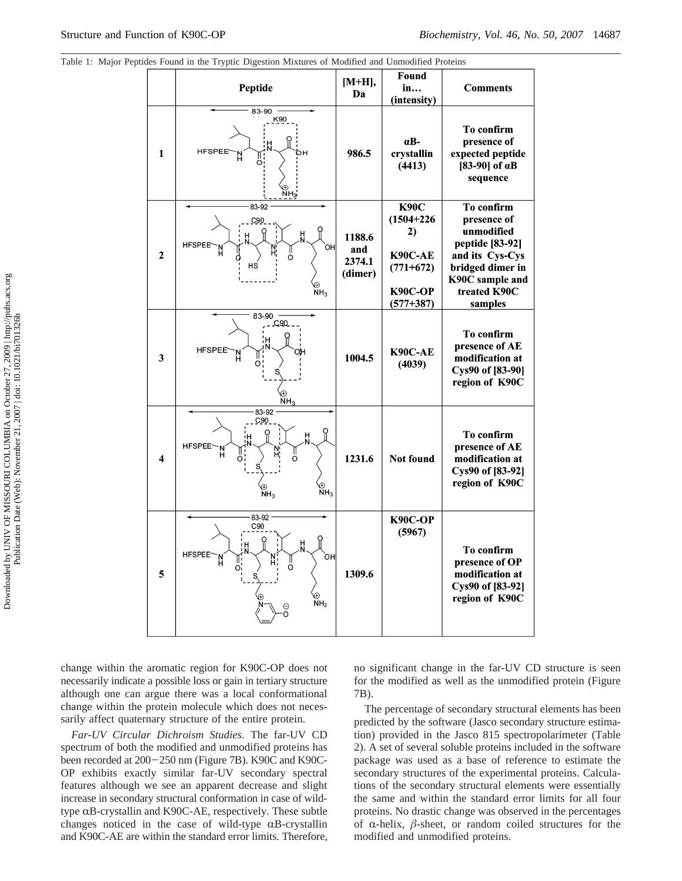|                     | ephaes I band in the Tryphe Digestron Mixtures of Modified and Omnounca Froteins                            |                                    |                                                                                                  |                                                                                                                                                 |
|---------------------|-------------------------------------------------------------------------------------------------------------|------------------------------------|--------------------------------------------------------------------------------------------------|-------------------------------------------------------------------------------------------------------------------------------------------------|
|                     | Peptide                                                                                                     |                                    | Found<br>in<br>(intensity)                                                                       | <b>Comments</b>                                                                                                                                 |
| $\mathbf{1}$        | 83-90<br>K90<br><b>HFSPEE</b><br>O<br>⊕<br>NH <sub>3</sub> .                                                | 986.5                              | αB-<br>crystallin<br>(4413)                                                                      | To confirm<br>presence of<br>expected peptide<br>[83-90] of $\alpha$ B<br>sequence                                                              |
| $\mathbf{2}$        | 83-92<br>C90<br>빘<br><b>HFSPEE</b><br>`ОН <br>HS<br>⊕<br>NH <sub>3</sub>                                    | 1188.6<br>and<br>2374.1<br>(dimer) | <b>К90С</b><br>$(1504 + 226)$<br>2)<br>K90C-AE<br>$(771+672)$<br><b>К90С-ОР</b><br>$(577 + 387)$ | To confirm<br>presence of<br>unmodified<br>peptide [83-92]<br>and its Cys-Cys<br>bridged dimer in<br>K90C sample and<br>treated K90C<br>samples |
| 3                   | 83-90<br>C90<br><b>HFSPEE</b><br>NH <sub>3</sub>                                                            | 1004.5                             | <b>K90C-AE</b><br>(4039)                                                                         | To confirm<br>presence of AE<br>modification at<br>Cys90 of [83-90]<br>region of K90C                                                           |
| $\overline{\bf{4}}$ | 83-92<br><u>C90.</u><br>н<br>HFSPEE <sup>-</sup><br>'N<br>O<br>⊕<br>NH <sub>3</sub><br>⊕<br>NH <sub>3</sub> | 1231.6                             | <b>Not found</b>                                                                                 | To confirm<br>presence of AE<br>modification at<br>Cys90 of [83-92]<br>region of K90C                                                           |
| 5                   | 83-92<br>C90<br>H<br><b>HFSPEE</b><br>òн<br>O<br>⊕<br>NH <sub>3</sub><br>Θ<br>Ó                             | 1309.6                             | <b>К90С-ОР</b><br>(5967)                                                                         | To confirm<br>presence of OP<br>modification at<br>Cys90 of [83-92]<br>region of K90C                                                           |

Table 1: Major Peptides Found in the Tryptic Digestion Mixtures of Modified and Unmodified Proteins

change within the aromatic region for K90C-OP does not necessarily indicate a possible loss or gain in tertiary structure although one can argue there was a local conformational change within the protein molecule which does not necessarily affect quaternary structure of the entire protein.

*Far-UV Circular Dichroism Studies.* The far-UV CD spectrum of both the modified and unmodified proteins has been recorded at 200-250 nm (Figure 7B). K90C and K90C-OP exhibits exactly similar far-UV secondary spectral features although we see an apparent decrease and slight increase in secondary structural conformation in case of wildtype  $\alpha$ B-crystallin and K90C-AE, respectively. These subtle changes noticed in the case of wild-type  $\alpha$ B-crystallin and K90C-AE are within the standard error limits. Therefore, no significant change in the far-UV CD structure is seen for the modified as well as the unmodified protein (Figure 7B).

The percentage of secondary structural elements has been predicted by the software (Jasco secondary structure estimation) provided in the Jasco 815 spectropolarimeter (Table 2). A set of several soluble proteins included in the software package was used as a base of reference to estimate the secondary structures of the experimental proteins. Calculations of the secondary structural elements were essentially the same and within the standard error limits for all four proteins. No drastic change was observed in the percentages of  $\alpha$ -helix,  $\beta$ -sheet, or random coiled structures for the modified and unmodified proteins.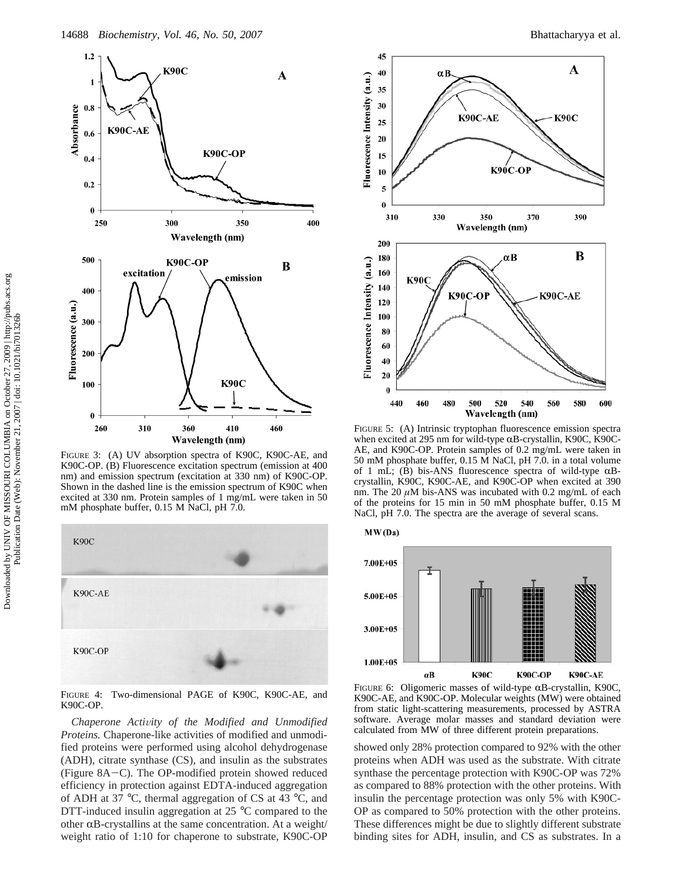



FIGURE 3: (A) UV absorption spectra of K90C, K90C-AE, and K90C-OP. (B) Fluorescence excitation spectrum (emission at 400 nm) and emission spectrum (excitation at 330 nm) of K90C-OP. Shown in the dashed line is the emission spectrum of K90C when excited at 330 nm. Protein samples of 1 mg/mL were taken in 50 mM phosphate buffer, 0.15 M NaCl, pH 7.0.



FIGURE 4: Two-dimensional PAGE of K90C, K90C-AE, and K90C-OP.

*Chaperone Activity of the Modified and Unmodified Proteins.* Chaperone-like activities of modified and unmodified proteins were performed using alcohol dehydrogenase (ADH), citrate synthase (CS), and insulin as the substrates (Figure 8A-C). The OP-modified protein showed reduced efficiency in protection against EDTA-induced aggregation of ADH at 37 °C, thermal aggregation of CS at 43 °C, and DTT-induced insulin aggregation at 25 °C compared to the other  $\alpha$ B-crystallins at the same concentration. At a weight/ weight ratio of 1:10 for chaperone to substrate, K90C-OP



FIGURE 5: (A) Intrinsic tryptophan fluorescence emission spectra when excited at 295 nm for wild-type  $\alpha$ B-crystallin, K90C, K90C-AE, and K90C-OP. Protein samples of 0.2 mg/mL were taken in 50 mM phosphate buffer, 0.15 M NaCl, pH 7.0. in a total volume of 1 mL; (B) bis-ANS fluorescence spectra of wild-type  $\alpha$ Bcrystallin, K90C, K90C-AE, and K90C-OP when excited at 390 nm. The 20  $\mu$ M bis-ANS was incubated with 0.2 mg/mL of each of the proteins for 15 min in 50 mM phosphate buffer, 0.15 M NaCl, pH 7.0. The spectra are the average of several scans.



FIGURE 6: Oligomeric masses of wild-type  $\alpha$ B-crystallin, K90C, K90C-AE, and K90C-OP. Molecular weights (MW) were obtained from static light-scattering measurements, processed by ASTRA software. Average molar masses and standard deviation were calculated from MW of three different protein preparations.

showed only 28% protection compared to 92% with the other proteins when ADH was used as the substrate. With citrate synthase the percentage protection with K90C-OP was 72% as compared to 88% protection with the other proteins. With insulin the percentage protection was only 5% with K90C-OP as compared to 50% protection with the other proteins. These differences might be due to slightly different substrate binding sites for ADH, insulin, and CS as substrates. In a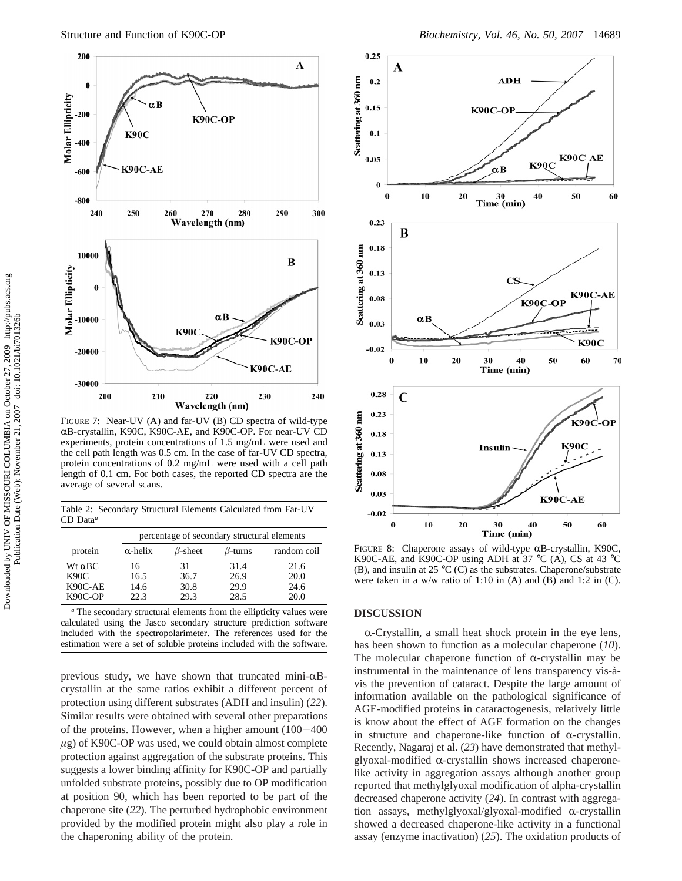

FIGURE 7: Near-UV (A) and far-UV (B) CD spectra of wild-type RB-crystallin, K90C, K90C-AE, and K90C-OP. For near-UV CD experiments, protein concentrations of 1.5 mg/mL were used and the cell path length was 0.5 cm. In the case of far-UV CD spectra, protein concentrations of 0.2 mg/mL were used with a cell path length of 0.1 cm. For both cases, the reported CD spectra are the average of several scans.

Table 2: Secondary Structural Elements Calculated from Far-UV CD Data*<sup>a</sup>*

|                                                  | percentage of secondary structural elements |                            |                              |                              |  |  |
|--------------------------------------------------|---------------------------------------------|----------------------------|------------------------------|------------------------------|--|--|
| protein                                          | $\alpha$ -helix                             | $\beta$ -sheet             | $\beta$ -turns               | random coil                  |  |  |
| $Wt \alpha BC$<br>K90C<br>$K90C-AE$<br>$K90C-OP$ | 16<br>16.5<br>14.6<br>22.3                  | 31<br>36.7<br>30.8<br>29.3 | 31.4<br>26.9<br>29.9<br>28.5 | 21.6<br>20.0<br>24.6<br>20.0 |  |  |

*<sup>a</sup>* The secondary structural elements from the ellipticity values were calculated using the Jasco secondary structure prediction software included with the spectropolarimeter. The references used for the estimation were a set of soluble proteins included with the software.

previous study, we have shown that truncated mini- $\alpha$ Bcrystallin at the same ratios exhibit a different percent of protection using different substrates (ADH and insulin) (*22*). Similar results were obtained with several other preparations of the proteins. However, when a higher amount (100-<sup>400</sup> *µ*g) of K90C-OP was used, we could obtain almost complete protection against aggregation of the substrate proteins. This suggests a lower binding affinity for K90C-OP and partially unfolded substrate proteins, possibly due to OP modification at position 90, which has been reported to be part of the chaperone site (*22*). The perturbed hydrophobic environment provided by the modified protein might also play a role in the chaperoning ability of the protein.



FIGURE 8: Chaperone assays of wild-type  $\alpha$ B-crystallin, K90C, K90C-AE, and K90C-OP using ADH at 37  $^{\circ}$ C (A), CS at 43  $^{\circ}$ C (B), and insulin at 25  $\rm{^{\circ}C}$  (C) as the substrates. Chaperone/substrate were taken in a w/w ratio of 1:10 in (A) and (B) and 1:2 in (C).

#### **DISCUSSION**

 $\alpha$ -Crystallin, a small heat shock protein in the eye lens, has been shown to function as a molecular chaperone (*10*). The molecular chaperone function of  $\alpha$ -crystallin may be instrumental in the maintenance of lens transparency vis-àvis the prevention of cataract. Despite the large amount of information available on the pathological significance of AGE-modified proteins in cataractogenesis, relatively little is know about the effect of AGE formation on the changes in structure and chaperone-like function of  $\alpha$ -crystallin. Recently, Nagaraj et al. (*23*) have demonstrated that methylglyoxal-modified  $\alpha$ -crystallin shows increased chaperonelike activity in aggregation assays although another group reported that methylglyoxal modification of alpha-crystallin decreased chaperone activity (*24*). In contrast with aggregation assays, methylglyoxal/glyoxal-modified  $\alpha$ -crystallin showed a decreased chaperone-like activity in a functional assay (enzyme inactivation) (*25*). The oxidation products of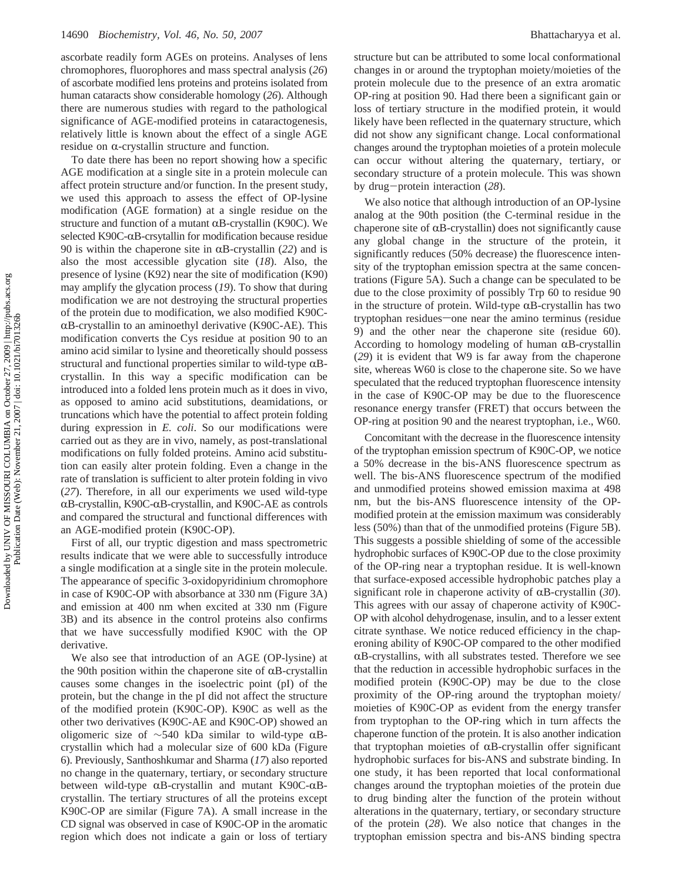ascorbate readily form AGEs on proteins. Analyses of lens chromophores, fluorophores and mass spectral analysis (*26*) of ascorbate modified lens proteins and proteins isolated from human cataracts show considerable homology (*26*). Although there are numerous studies with regard to the pathological significance of AGE-modified proteins in cataractogenesis, relatively little is known about the effect of a single AGE residue on  $\alpha$ -crystallin structure and function.

To date there has been no report showing how a specific AGE modification at a single site in a protein molecule can affect protein structure and/or function. In the present study, we used this approach to assess the effect of OP-lysine modification (AGE formation) at a single residue on the structure and function of a mutant  $\alpha$ B-crystallin (K90C). We selected K90C- $\alpha$ B-crsytallin for modification because residue 90 is within the chaperone site in  $\alpha$ B-crystallin (22) and is also the most accessible glycation site (*18*). Also, the presence of lysine (K92) near the site of modification (K90) may amplify the glycation process (*19*). To show that during modification we are not destroying the structural properties of the protein due to modification, we also modified K90C- $\alpha$ B-crystallin to an aminoethyl derivative (K90C-AE). This modification converts the Cys residue at position 90 to an amino acid similar to lysine and theoretically should possess structural and functional properties similar to wild-type  $\alpha$ Bcrystallin. In this way a specific modification can be introduced into a folded lens protein much as it does in vivo, as opposed to amino acid substitutions, deamidations, or truncations which have the potential to affect protein folding during expression in *E. coli*. So our modifications were carried out as they are in vivo, namely, as post-translational modifications on fully folded proteins. Amino acid substitution can easily alter protein folding. Even a change in the rate of translation is sufficient to alter protein folding in vivo (*27*). Therefore, in all our experiments we used wild-type  $\alpha$ B-crystallin, K90C- $\alpha$ B-crystallin, and K90C-AE as controls and compared the structural and functional differences with an AGE-modified protein (K90C-OP).

First of all, our tryptic digestion and mass spectrometric results indicate that we were able to successfully introduce a single modification at a single site in the protein molecule. The appearance of specific 3-oxidopyridinium chromophore in case of K90C-OP with absorbance at 330 nm (Figure 3A) and emission at 400 nm when excited at 330 nm (Figure 3B) and its absence in the control proteins also confirms that we have successfully modified K90C with the OP derivative.

We also see that introduction of an AGE (OP-lysine) at the 90th position within the chaperone site of  $\alpha$ B-crystallin causes some changes in the isoelectric point (pI) of the protein, but the change in the pI did not affect the structure of the modified protein (K90C-OP). K90C as well as the other two derivatives (K90C-AE and K90C-OP) showed an oligomeric size of  $\sim$ 540 kDa similar to wild-type αBcrystallin which had a molecular size of 600 kDa (Figure 6). Previously, Santhoshkumar and Sharma (*17*) also reported no change in the quaternary, tertiary, or secondary structure between wild-type  $\alpha$ B-crystallin and mutant K90C- $\alpha$ Bcrystallin. The tertiary structures of all the proteins except K90C-OP are similar (Figure 7A). A small increase in the CD signal was observed in case of K90C-OP in the aromatic region which does not indicate a gain or loss of tertiary

structure but can be attributed to some local conformational changes in or around the tryptophan moiety/moieties of the protein molecule due to the presence of an extra aromatic OP-ring at position 90. Had there been a significant gain or loss of tertiary structure in the modified protein, it would likely have been reflected in the quaternary structure, which did not show any significant change. Local conformational changes around the tryptophan moieties of a protein molecule can occur without altering the quaternary, tertiary, or secondary structure of a protein molecule. This was shown by drug-protein interaction (*28*).

We also notice that although introduction of an OP-lysine analog at the 90th position (the C-terminal residue in the chaperone site of  $\alpha$ B-crystallin) does not significantly cause any global change in the structure of the protein, it significantly reduces (50% decrease) the fluorescence intensity of the tryptophan emission spectra at the same concentrations (Figure 5A). Such a change can be speculated to be due to the close proximity of possibly Trp 60 to residue 90 in the structure of protein. Wild-type  $\alpha$ B-crystallin has two tryptophan residues—one near the amino terminus (residue 9) and the other near the chaperone site (residue 60). According to homology modeling of human  $\alpha$ B-crystallin (*29*) it is evident that W9 is far away from the chaperone site, whereas W60 is close to the chaperone site. So we have speculated that the reduced tryptophan fluorescence intensity in the case of K90C-OP may be due to the fluorescence resonance energy transfer (FRET) that occurs between the OP-ring at position 90 and the nearest tryptophan, i.e., W60.

Concomitant with the decrease in the fluorescence intensity of the tryptophan emission spectrum of K90C-OP, we notice a 50% decrease in the bis-ANS fluorescence spectrum as well. The bis-ANS fluorescence spectrum of the modified and unmodified proteins showed emission maxima at 498 nm, but the bis-ANS fluorescence intensity of the OPmodified protein at the emission maximum was considerably less (50%) than that of the unmodified proteins (Figure 5B). This suggests a possible shielding of some of the accessible hydrophobic surfaces of K90C-OP due to the close proximity of the OP-ring near a tryptophan residue. It is well-known that surface-exposed accessible hydrophobic patches play a significant role in chaperone activity of  $\alpha$ B-crystallin (30). This agrees with our assay of chaperone activity of K90C-OP with alcohol dehydrogenase, insulin, and to a lesser extent citrate synthase. We notice reduced efficiency in the chaperoning ability of K90C-OP compared to the other modified  $\alpha$ B-crystallins, with all substrates tested. Therefore we see that the reduction in accessible hydrophobic surfaces in the modified protein (K90C-OP) may be due to the close proximity of the OP-ring around the tryptophan moiety/ moieties of K90C-OP as evident from the energy transfer from tryptophan to the OP-ring which in turn affects the chaperone function of the protein. It is also another indication that tryptophan moieties of  $\alpha$ B-crystallin offer significant hydrophobic surfaces for bis-ANS and substrate binding. In one study, it has been reported that local conformational changes around the tryptophan moieties of the protein due to drug binding alter the function of the protein without alterations in the quaternary, tertiary, or secondary structure of the protein (*28*). We also notice that changes in the tryptophan emission spectra and bis-ANS binding spectra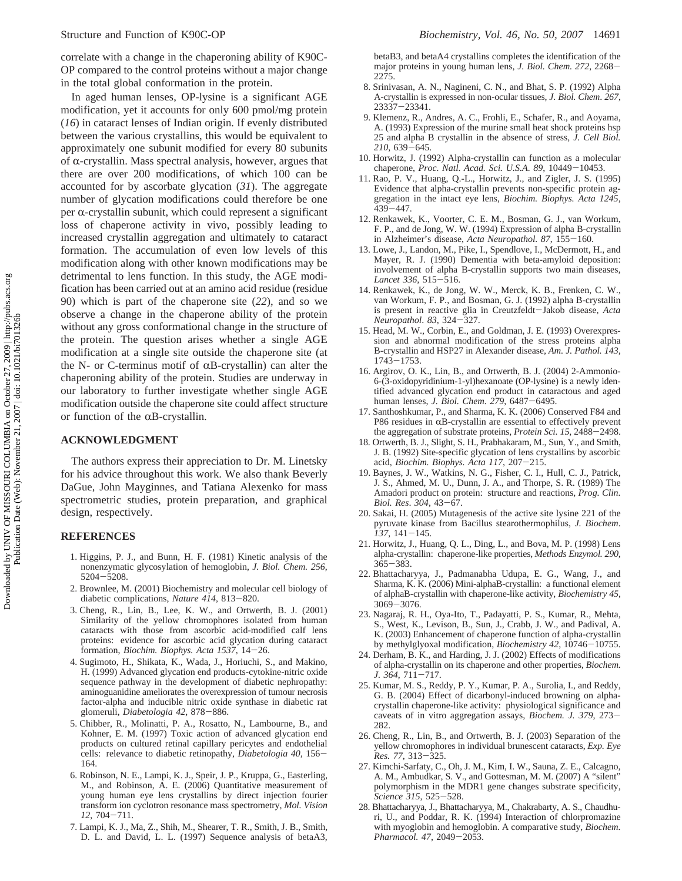correlate with a change in the chaperoning ability of K90C-OP compared to the control proteins without a major change in the total global conformation in the protein.

In aged human lenses, OP-lysine is a significant AGE modification, yet it accounts for only 600 pmol/mg protein (*16*) in cataract lenses of Indian origin. If evenly distributed between the various crystallins, this would be equivalent to approximately one subunit modified for every 80 subunits of  $\alpha$ -crystallin. Mass spectral analysis, however, argues that there are over 200 modifications, of which 100 can be accounted for by ascorbate glycation (*31*). The aggregate number of glycation modifications could therefore be one per  $\alpha$ -crystallin subunit, which could represent a significant loss of chaperone activity in vivo, possibly leading to increased crystallin aggregation and ultimately to cataract formation. The accumulation of even low levels of this modification along with other known modifications may be detrimental to lens function. In this study, the AGE modification has been carried out at an amino acid residue (residue 90) which is part of the chaperone site (*22*), and so we observe a change in the chaperone ability of the protein without any gross conformational change in the structure of the protein. The question arises whether a single AGE modification at a single site outside the chaperone site (at the N- or C-terminus motif of  $\alpha$ B-crystallin) can alter the chaperoning ability of the protein. Studies are underway in our laboratory to further investigate whether single AGE modification outside the chaperone site could affect structure or function of the  $\alpha$ B-crystallin.

## **ACKNOWLEDGMENT**

The authors express their appreciation to Dr. M. Linetsky for his advice throughout this work. We also thank Beverly DaGue, John Mayginnes, and Tatiana Alexenko for mass spectrometric studies, protein preparation, and graphical design, respectively.

#### **REFERENCES**

- 1. Higgins, P. J., and Bunn, H. F. (1981) Kinetic analysis of the nonenzymatic glycosylation of hemoglobin, *J. Biol. Chem. 256*, <sup>5204</sup>-5208.
- 2. Brownlee, M. (2001) Biochemistry and molecular cell biology of diabetic complications, *Nature 414*, 813-820.
- 3. Cheng, R., Lin, B., Lee, K. W., and Ortwerth, B. J. (2001) Similarity of the yellow chromophores isolated from human cataracts with those from ascorbic acid-modified calf lens proteins: evidence for ascorbic acid glycation during cataract formation, *Biochim. Biophys. Acta 1537*, 14-26.
- 4. Sugimoto, H., Shikata, K., Wada, J., Horiuchi, S., and Makino, H. (1999) Advanced glycation end products-cytokine-nitric oxide sequence pathway in the development of diabetic nephropathy: aminoguanidine ameliorates the overexpression of tumour necrosis factor-alpha and inducible nitric oxide synthase in diabetic rat glomeruli, *Diabetologia 42*, 878-886.
- 5. Chibber, R., Molinatti, P. A., Rosatto, N., Lambourne, B., and Kohner, E. M. (1997) Toxic action of advanced glycation end products on cultured retinal capillary pericytes and endothelial cells: relevance to diabetic retinopathy, *Diabetologia 40*, 156- 164.
- 6. Robinson, N. E., Lampi, K. J., Speir, J. P., Kruppa, G., Easterling, M., and Robinson, A. E. (2006) Quantitative measurement of young human eye lens crystallins by direct injection fourier transform ion cyclotron resonance mass spectrometry, *Mol. Vision <sup>12</sup>*, 704-711.
- 7. Lampi, K. J., Ma, Z., Shih, M., Shearer, T. R., Smith, J. B., Smith, D. L. and David, L. L. (1997) Sequence analysis of betaA3,

betaB3, and betaA4 crystallins completes the identification of the major proteins in young human lens, *J. Biol. Chem. 272*, 2268- 2275.

- 8. Srinivasan, A. N., Nagineni, C. N., and Bhat, S. P. (1992) Alpha A-crystallin is expressed in non-ocular tissues, *J. Biol. Chem*. *267*, <sup>23337</sup>-23341. 9. Klemenz, R., Andres, A. C., Frohli, E., Schafer, R., and Aoyama,
- A. (1993) Expression of the murine small heat shock proteins hsp 25 and alpha B crystallin in the absence of stress, *J. Cell Biol. <sup>210</sup>*, 639-645.
- 10. Horwitz, J. (1992) Alpha-crystallin can function as a molecular chaperone, *Proc. Natl. Acad. Sci. U.S.A. 89*, 10449-10453.
- 11. Rao, P. V., Huang, Q.-L., Horwitz, J., and Zigler, J. S. (1995) Evidence that alpha-crystallin prevents non-specific protein aggregation in the intact eye lens, *Biochim. Biophys. Acta 1245*, <sup>439</sup>-447.
- 12. Renkawek, K., Voorter, C. E. M., Bosman, G. J., van Workum, F. P., and de Jong, W. W. (1994) Expression of alpha B-crystallin in Alzheimer's disease, *Acta Neuropathol. 87*, 155-160.
- 13. Lowe, J., Landon, M., Pike, I., Spendlove, I., McDermott, H., and Mayer, R. J. (1990) Dementia with beta-amyloid deposition: involvement of alpha B-crystallin supports two main diseases, *Lancet 336*, 515-516.
- 14. Renkawek, K., de Jong, W. W., Merck, K. B., Frenken, C. W., van Workum, F. P., and Bosman, G. J. (1992) alpha B-crystallin is present in reactive glia in Creutzfeldt-Jakob disease, *Acta Neuropathol*. *<sup>83</sup>*, 324-327.
- 15. Head, M. W., Corbin, E., and Goldman, J. E. (1993) Overexpression and abnormal modification of the stress proteins alpha B-crystallin and HSP27 in Alexander disease, *Am. J. Pathol. 143*, <sup>1743</sup>-1753.
- 16. Argirov, O. K., Lin, B., and Ortwerth, B. J. (2004) 2-Ammonio-6-(3-oxidopyridinium-1-yl)hexanoate (OP-lysine) is a newly identified advanced glycation end product in cataractous and aged human lenses, *J. Biol. Chem. 279*, 6487-6495.
- 17. Santhoshkumar, P., and Sharma, K. K. (2006) Conserved F84 and P86 residues in  $\alpha$ B-crystallin are essential to effectively prevent the aggregation of substrate proteins, *Protein Sci. 15*, 2488-2498.
- 18. Ortwerth, B. J., Slight, S. H., Prabhakaram, M., Sun, Y., and Smith, J. B. (1992) Site-specific glycation of lens crystallins by ascorbic acid, *Biochim. Biophys. Acta 117*, 207-215.
- 19. Baynes, J. W., Watkins, N. G., Fisher, C. I., Hull, C. J., Patrick, J. S., Ahmed, M. U., Dunn, J. A., and Thorpe, S. R. (1989) The Amadori product on protein: structure and reactions, *Prog. Clin. Biol. Res*. *<sup>304</sup>*, 43-67.
- 20. Sakai, H. (2005) Mutagenesis of the active site lysine 221 of the pyruvate kinase from Bacillus stearothermophilus, *J. Biochem*. *<sup>137</sup>*, 141-145.
- 21. Horwitz, J., Huang, Q. L., Ding, L., and Bova, M. P. (1998) Lens alpha-crystallin: chaperone-like properties, *Methods Enzymol. 290*,  $365 - 383$ .
- 22. Bhattacharyya, J., Padmanabha Udupa, E. G., Wang, J., and Sharma, K. K. (2006) Mini-alphaB-crystallin: a functional element of alphaB-crystallin with chaperone-like activity, *Biochemistry 45*, <sup>3069</sup>-3076.
- 23. Nagaraj, R. H., Oya-Ito, T., Padayatti, P. S., Kumar, R., Mehta, S., West, K., Levison, B., Sun, J., Crabb, J. W., and Padival, A. K. (2003) Enhancement of chaperone function of alpha-crystallin by methylglyoxal modification, *Biochemistry 42*, 10746-10755.
- 24. Derham, B. K., and Harding, J. J. (2002) Effects of modifications of alpha-crystallin on its chaperone and other properties, *Biochem. J. 364*, 711-717.
- 25. Kumar, M. S., Reddy, P. Y., Kumar, P. A., Surolia, I., and Reddy, G. B. (2004) Effect of dicarbonyl-induced browning on alphacrystallin chaperone-like activity: physiological significance and caveats of in vitro aggregation assays, *Biochem. J. 379*, 273- 282.
- 26. Cheng, R., Lin, B., and Ortwerth, B. J. (2003) Separation of the yellow chromophores in individual brunescent cataracts, *Exp. Eye Res. 77*, 313-325.
- 27. Kimchi-Sarfaty, C., Oh, J. M., Kim, I. W., Sauna, Z. E., Calcagno, A. M., Ambudkar, S. V., and Gottesman, M. M. (2007) A "silent" polymorphism in the MDR1 gene changes substrate specificity, *Science 315*, 525-528.
- 28. Bhattacharyya, J., Bhattacharyya, M., Chakrabarty, A. S., Chaudhuri, U., and Poddar, R. K. (1994) Interaction of chlorpromazine with myoglobin and hemoglobin. A comparative study, *Biochem. Pharmacol. 47*, 2049-2053.